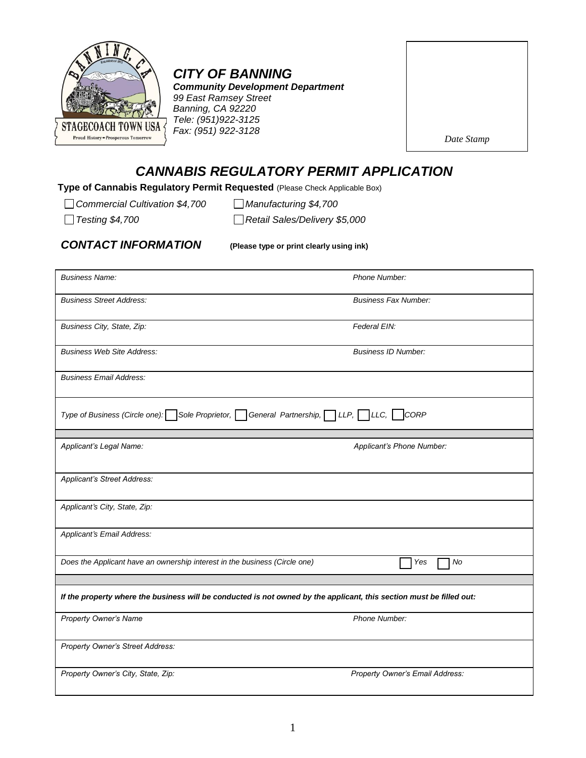

## *CITY OF BANNING*

*Community Development Department 99 East Ramsey Street Banning, CA 92220 Tele: (951)922-3125 Fax: (951) 922-3128*

| Date Stamp |  |
|------------|--|
|            |  |
|            |  |
|            |  |
|            |  |
|            |  |

## *CANNABIS REGULATORY PERMIT APPLICATION*

**Type of Cannabis Regulatory Permit Requested** (Please Check Applicable Box)

*Commercial Cultivation \$4,700 Manufacturing \$4,700*

*Testing \$4,700 Retail Sales/Delivery \$5,000*

*CONTACT INFORMATION* **(Please type or print clearly using ink)**

| <b>Business Name:</b>                                                                                                | Phone Number:                          |
|----------------------------------------------------------------------------------------------------------------------|----------------------------------------|
| <b>Business Street Address:</b>                                                                                      | <b>Business Fax Number:</b>            |
| Business City, State, Zip:                                                                                           | Federal EIN:                           |
| <b>Business Web Site Address:</b>                                                                                    | <b>Business ID Number:</b>             |
| <b>Business Email Address:</b>                                                                                       |                                        |
| Type of Business (Circle one): Sole Proprietor,                                                                      | CORP<br>General Partnership, LLP, LLC, |
|                                                                                                                      |                                        |
| Applicant's Legal Name:                                                                                              | Applicant's Phone Number:              |
| Applicant's Street Address:                                                                                          |                                        |
| Applicant's City, State, Zip:                                                                                        |                                        |
| Applicant's Email Address:                                                                                           |                                        |
| Does the Applicant have an ownership interest in the business (Circle one)                                           | No<br>Yes                              |
|                                                                                                                      |                                        |
| If the property where the business will be conducted is not owned by the applicant, this section must be filled out: |                                        |
| Property Owner's Name                                                                                                | Phone Number:                          |
| Property Owner's Street Address:                                                                                     |                                        |
| Property Owner's City, State, Zip:                                                                                   | Property Owner's Email Address:        |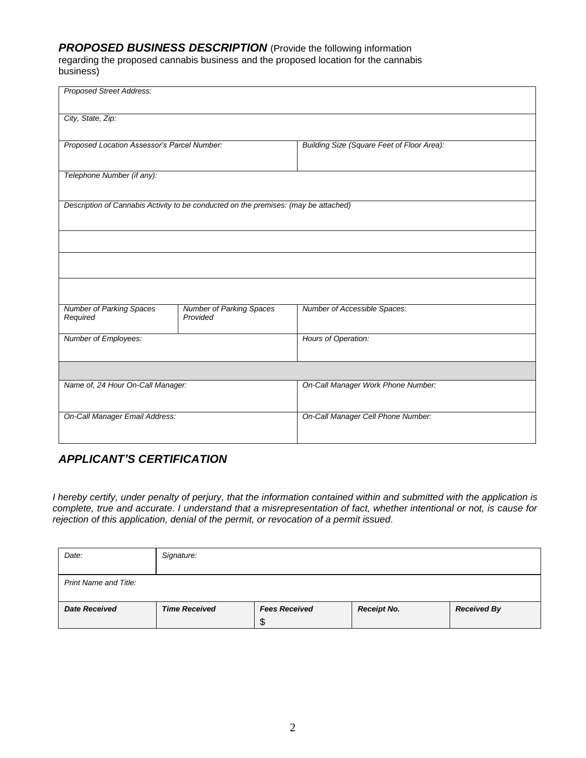#### *PROPOSED BUSINESS DESCRIPTION* (Provide the following information

regarding the proposed cannabis business and the proposed location for the cannabis business)

| <b>Proposed Street Address:</b>             |                                                                                     |                                            |
|---------------------------------------------|-------------------------------------------------------------------------------------|--------------------------------------------|
| City, State, Zip:                           |                                                                                     |                                            |
| Proposed Location Assessor's Parcel Number: |                                                                                     | Building Size (Square Feet of Floor Area): |
| Telephone Number (if any):                  |                                                                                     |                                            |
|                                             | Description of Cannabis Activity to be conducted on the premises: (may be attached) |                                            |
|                                             |                                                                                     |                                            |
|                                             |                                                                                     |                                            |
|                                             |                                                                                     |                                            |
| <b>Number of Parking Spaces</b><br>Required | <b>Number of Parking Spaces</b><br>Provided                                         | Number of Accessible Spaces:               |
| Number of Employees:                        |                                                                                     | Hours of Operation:                        |
|                                             |                                                                                     |                                            |
|                                             |                                                                                     |                                            |
| On-Call Manager Email Address:              |                                                                                     | On-Call Manager Cell Phone Number:         |
| Name of, 24 Hour On-Call Manager:           |                                                                                     | On-Call Manager Work Phone Number:         |

### *APPLICANT'S CERTIFICATION*

*I hereby certify, under penalty of perjury, that the information contained within and submitted with the application is complete, true and accurate. I understand that a misrepresentation of fact, whether intentional or not, is cause for rejection of this application, denial of the permit, or revocation of a permit issued.* 

| Date:                        | Signature:           |                                 |                    |                    |
|------------------------------|----------------------|---------------------------------|--------------------|--------------------|
| <b>Print Name and Title:</b> |                      |                                 |                    |                    |
| <b>Date Received</b>         | <b>Time Received</b> | <b>Fees Received</b><br>ጥ<br>ъD | <b>Receipt No.</b> | <b>Received By</b> |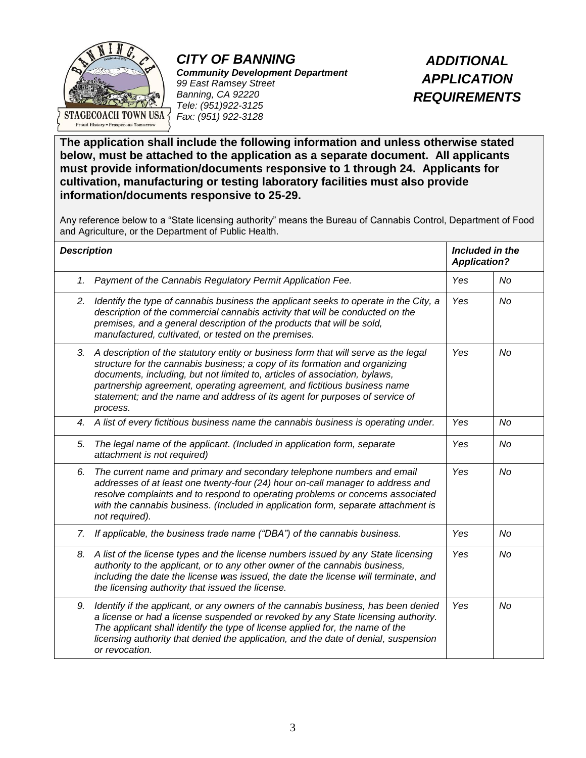

*CITY OF BANNING Community Development Department 99 East Ramsey Street Banning, CA 92220 Tele: (951)922-3125 Fax: (951) 922-3128*

*ADDITIONAL APPLICATION REQUIREMENTS*

**The application shall include the following information and unless otherwise stated below, must be attached to the application as a separate document. All applicants must provide information/documents responsive to 1 through 24. Applicants for cultivation, manufacturing or testing laboratory facilities must also provide information/documents responsive to 25-29.**

Any reference below to a "State licensing authority" means the Bureau of Cannabis Control, Department of Food and Agriculture, or the Department of Public Health.

| <b>Description</b> |                                                                                                                                                                                                                                                                                                                                                                                                                         | Included in the<br><b>Application?</b> |    |
|--------------------|-------------------------------------------------------------------------------------------------------------------------------------------------------------------------------------------------------------------------------------------------------------------------------------------------------------------------------------------------------------------------------------------------------------------------|----------------------------------------|----|
| 1.                 | Payment of the Cannabis Regulatory Permit Application Fee.                                                                                                                                                                                                                                                                                                                                                              | Yes                                    | No |
| 2.                 | Identify the type of cannabis business the applicant seeks to operate in the City, a<br>description of the commercial cannabis activity that will be conducted on the<br>premises, and a general description of the products that will be sold,<br>manufactured, cultivated, or tested on the premises.                                                                                                                 | Yes                                    | No |
| 3.                 | A description of the statutory entity or business form that will serve as the legal<br>structure for the cannabis business; a copy of its formation and organizing<br>documents, including, but not limited to, articles of association, bylaws,<br>partnership agreement, operating agreement, and fictitious business name<br>statement; and the name and address of its agent for purposes of service of<br>process. | Yes                                    | No |
| 4.                 | A list of every fictitious business name the cannabis business is operating under.                                                                                                                                                                                                                                                                                                                                      | Yes                                    | No |
| 5.                 | The legal name of the applicant. (Included in application form, separate<br>attachment is not required)                                                                                                                                                                                                                                                                                                                 | Yes                                    | No |
| 6.                 | The current name and primary and secondary telephone numbers and email<br>addresses of at least one twenty-four (24) hour on-call manager to address and<br>resolve complaints and to respond to operating problems or concerns associated<br>with the cannabis business. (Included in application form, separate attachment is<br>not required).                                                                       | Yes                                    | No |
| 7.                 | If applicable, the business trade name ("DBA") of the cannabis business.                                                                                                                                                                                                                                                                                                                                                | Yes                                    | No |
| 8.                 | A list of the license types and the license numbers issued by any State licensing<br>authority to the applicant, or to any other owner of the cannabis business,<br>including the date the license was issued, the date the license will terminate, and<br>the licensing authority that issued the license.                                                                                                             | Yes                                    | No |
| 9.                 | Identify if the applicant, or any owners of the cannabis business, has been denied<br>a license or had a license suspended or revoked by any State licensing authority.<br>The applicant shall identify the type of license applied for, the name of the<br>licensing authority that denied the application, and the date of denial, suspension<br>or revocation.                                                       | Yes                                    | No |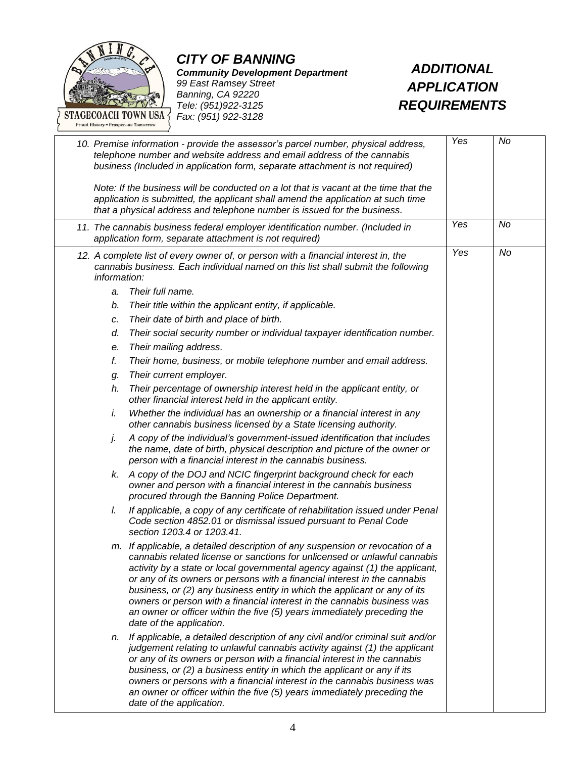

*CITY OF BANNING Community Development Department 99 East Ramsey Street Banning, CA 92220 Tele: (951)922-3125 Fax: (951) 922-3128*

*ADDITIONAL APPLICATION REQUIREMENTS*

|                                                                                      | 10. Premise information - provide the assessor's parcel number, physical address,<br>telephone number and website address and email address of the cannabis<br>business (Included in application form, separate attachment is not required)<br>Note: If the business will be conducted on a lot that is vacant at the time that the<br>application is submitted, the applicant shall amend the application at such time<br>that a physical address and telephone number is issued for the business.                                                                                                                                                                                                                                                                                                                                                                                                                                                                                                                                                                                                                                                                                                                                                                                                                                                                     | Yes | No |
|--------------------------------------------------------------------------------------|-------------------------------------------------------------------------------------------------------------------------------------------------------------------------------------------------------------------------------------------------------------------------------------------------------------------------------------------------------------------------------------------------------------------------------------------------------------------------------------------------------------------------------------------------------------------------------------------------------------------------------------------------------------------------------------------------------------------------------------------------------------------------------------------------------------------------------------------------------------------------------------------------------------------------------------------------------------------------------------------------------------------------------------------------------------------------------------------------------------------------------------------------------------------------------------------------------------------------------------------------------------------------------------------------------------------------------------------------------------------------|-----|----|
|                                                                                      | 11. The cannabis business federal employer identification number. (Included in<br>application form, separate attachment is not required)                                                                                                                                                                                                                                                                                                                                                                                                                                                                                                                                                                                                                                                                                                                                                                                                                                                                                                                                                                                                                                                                                                                                                                                                                                | Yes | No |
| information:<br>a.<br>b.<br>c.<br>d.<br>е.<br>f.<br>g.<br>h.<br>i.<br>j.<br>k.<br>I. | 12. A complete list of every owner of, or person with a financial interest in, the<br>cannabis business. Each individual named on this list shall submit the following<br>Their full name.<br>Their title within the applicant entity, if applicable.<br>Their date of birth and place of birth.<br>Their social security number or individual taxpayer identification number.<br>Their mailing address.<br>Their home, business, or mobile telephone number and email address.<br>Their current employer.<br>Their percentage of ownership interest held in the applicant entity, or<br>other financial interest held in the applicant entity.<br>Whether the individual has an ownership or a financial interest in any<br>other cannabis business licensed by a State licensing authority.<br>A copy of the individual's government-issued identification that includes<br>the name, date of birth, physical description and picture of the owner or<br>person with a financial interest in the cannabis business.<br>A copy of the DOJ and NCIC fingerprint background check for each<br>owner and person with a financial interest in the cannabis business<br>procured through the Banning Police Department.<br>If applicable, a copy of any certificate of rehabilitation issued under Penal<br>Code section 4852.01 or dismissal issued pursuant to Penal Code | Yes | No |
|                                                                                      | section 1203.4 or 1203.41.<br>m. If applicable, a detailed description of any suspension or revocation of a<br>cannabis related license or sanctions for unlicensed or unlawful cannabis<br>activity by a state or local governmental agency against (1) the applicant,<br>or any of its owners or persons with a financial interest in the cannabis<br>business, or (2) any business entity in which the applicant or any of its<br>owners or person with a financial interest in the cannabis business was<br>an owner or officer within the five (5) years immediately preceding the<br>date of the application.<br>n. If applicable, a detailed description of any civil and/or criminal suit and/or<br>judgement relating to unlawful cannabis activity against (1) the applicant<br>or any of its owners or person with a financial interest in the cannabis<br>business, or (2) a business entity in which the applicant or any if its<br>owners or persons with a financial interest in the cannabis business was<br>an owner or officer within the five (5) years immediately preceding the<br>date of the application.                                                                                                                                                                                                                                        |     |    |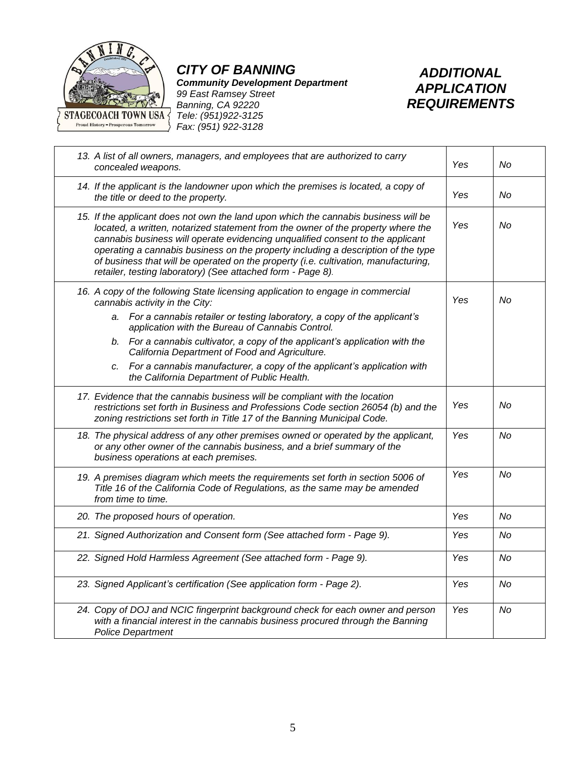

*CITY OF BANNING*

*Community Development Department 99 East Ramsey Street Banning, CA 92220*



| 13. A list of all owners, managers, and employees that are authorized to carry<br>concealed weapons.                                                                                                                                                                                                                                                                                                                                                                                                 | Yes | No        |
|------------------------------------------------------------------------------------------------------------------------------------------------------------------------------------------------------------------------------------------------------------------------------------------------------------------------------------------------------------------------------------------------------------------------------------------------------------------------------------------------------|-----|-----------|
| 14. If the applicant is the landowner upon which the premises is located, a copy of<br>the title or deed to the property.                                                                                                                                                                                                                                                                                                                                                                            | Yes | No        |
| 15. If the applicant does not own the land upon which the cannabis business will be<br>located, a written, notarized statement from the owner of the property where the<br>cannabis business will operate evidencing unqualified consent to the applicant<br>operating a cannabis business on the property including a description of the type<br>of business that will be operated on the property (i.e. cultivation, manufacturing,<br>retailer, testing laboratory) (See attached form - Page 8). | Yes | No        |
| 16. A copy of the following State licensing application to engage in commercial<br>cannabis activity in the City:<br>a. For a cannabis retailer or testing laboratory, a copy of the applicant's<br>application with the Bureau of Cannabis Control.                                                                                                                                                                                                                                                 | Yes | No        |
| b. For a cannabis cultivator, a copy of the applicant's application with the<br>California Department of Food and Agriculture.                                                                                                                                                                                                                                                                                                                                                                       |     |           |
| c. For a cannabis manufacturer, a copy of the applicant's application with<br>the California Department of Public Health.                                                                                                                                                                                                                                                                                                                                                                            |     |           |
| 17. Evidence that the cannabis business will be compliant with the location<br>restrictions set forth in Business and Professions Code section 26054 (b) and the<br>zoning restrictions set forth in Title 17 of the Banning Municipal Code.                                                                                                                                                                                                                                                         | Yes | No        |
| 18. The physical address of any other premises owned or operated by the applicant,<br>or any other owner of the cannabis business, and a brief summary of the<br>business operations at each premises.                                                                                                                                                                                                                                                                                               | Yes | No        |
| 19. A premises diagram which meets the requirements set forth in section 5006 of<br>Title 16 of the California Code of Regulations, as the same may be amended<br>from time to time.                                                                                                                                                                                                                                                                                                                 | Yes | No        |
| 20. The proposed hours of operation.                                                                                                                                                                                                                                                                                                                                                                                                                                                                 | Yes | No        |
| 21. Signed Authorization and Consent form (See attached form - Page 9).                                                                                                                                                                                                                                                                                                                                                                                                                              | Yes | No        |
| 22. Signed Hold Harmless Agreement (See attached form - Page 9).                                                                                                                                                                                                                                                                                                                                                                                                                                     | Yes | No        |
| 23. Signed Applicant's certification (See application form - Page 2).                                                                                                                                                                                                                                                                                                                                                                                                                                | Yes | <b>No</b> |
| 24. Copy of DOJ and NCIC fingerprint background check for each owner and person<br>with a financial interest in the cannabis business procured through the Banning<br><b>Police Department</b>                                                                                                                                                                                                                                                                                                       | Yes | No        |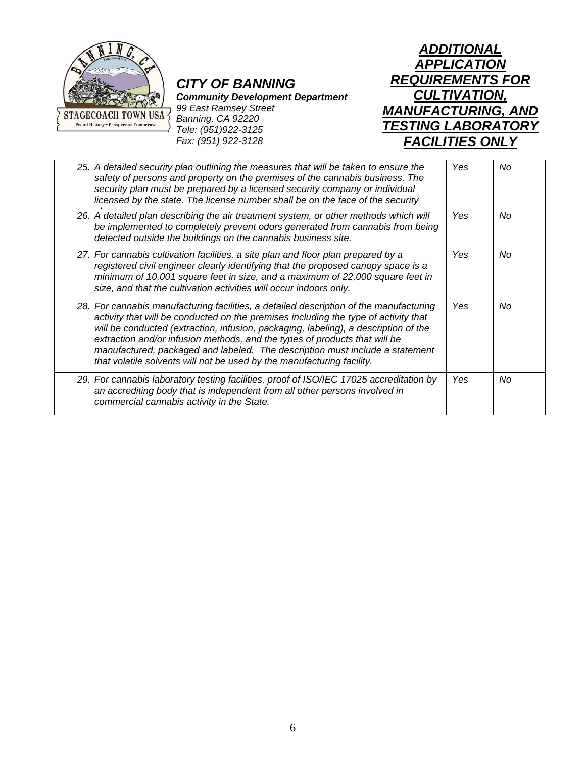

### *CITY OF BANNING*

*Community Development Department*

*99 East Ramsey Street Banning, CA 92220 Tele: (951)922-3125 Fax: (951) 922-3128*

*ADDITIONAL APPLICATION REQUIREMENTS FOR CULTIVATION, MANUFACTURING, AND TESTING LABORATORY FACILITIES ONLY*

| 25. A detailed security plan outlining the measures that will be taken to ensure the<br>safety of persons and property on the premises of the cannabis business. The<br>security plan must be prepared by a licensed security company or individual<br>licensed by the state. The license number shall be on the face of the security                                                                                                                                                                        | Yes        | No |
|--------------------------------------------------------------------------------------------------------------------------------------------------------------------------------------------------------------------------------------------------------------------------------------------------------------------------------------------------------------------------------------------------------------------------------------------------------------------------------------------------------------|------------|----|
| 26. A detailed plan describing the air treatment system, or other methods which will<br>be implemented to completely prevent odors generated from cannabis from being<br>detected outside the buildings on the cannabis business site.                                                                                                                                                                                                                                                                       | Yes        | No |
| 27. For cannabis cultivation facilities, a site plan and floor plan prepared by a<br>registered civil engineer clearly identifying that the proposed canopy space is a<br>minimum of 10,001 square feet in size, and a maximum of 22,000 square feet in<br>size, and that the cultivation activities will occur indoors only.                                                                                                                                                                                | <b>Yes</b> | No |
| 28. For cannabis manufacturing facilities, a detailed description of the manufacturing<br>activity that will be conducted on the premises including the type of activity that<br>will be conducted (extraction, infusion, packaging, labeling), a description of the<br>extraction and/or infusion methods, and the types of products that will be<br>manufactured, packaged and labeled. The description must include a statement<br>that volatile solvents will not be used by the manufacturing facility. | Yes        | No |
| 29. For cannabis laboratory testing facilities, proof of ISO/IEC 17025 accreditation by<br>an accrediting body that is independent from all other persons involved in<br>commercial cannabis activity in the State.                                                                                                                                                                                                                                                                                          | Yes        | No |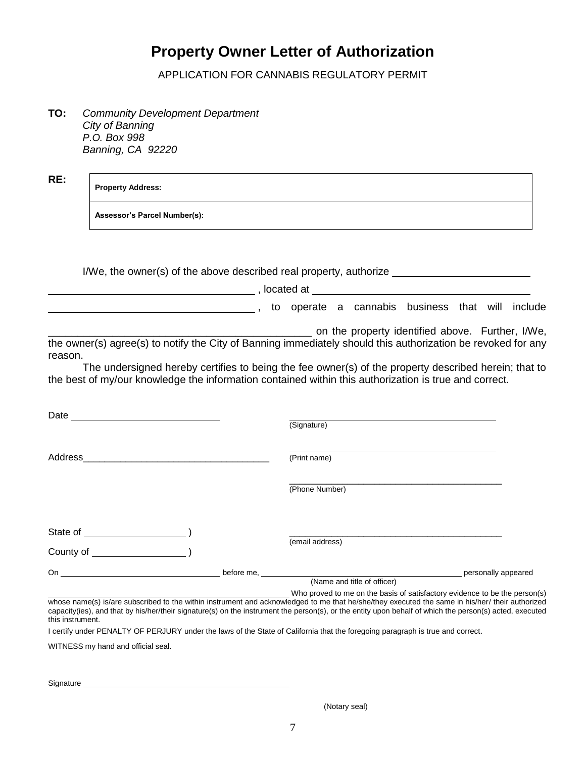## **Property Owner Letter of Authorization**

APPLICATION FOR CANNABIS REGULATORY PERMIT

**TO:** *Community Development Department City of Banning P.O. Box 998 Banning, CA 92220*

**RE:**

#### **Property Address:**

**Assessor's Parcel Number(s):** 

I/We, the owner(s) of the above described real property, authorize erated at <u>electronic</u> control.

to operate a cannabis business that will include

 $\Box$  on the property identified above. Further, I/We, the owner(s) agree(s) to notify the City of Banning immediately should this authorization be revoked for any reason.

The undersigned hereby certifies to being the fee owner(s) of the property described herein; that to the best of my/our knowledge the information contained within this authorization is true and correct.

| Date $\overline{\phantom{a}}$                                                                                                                                                                                                  | (Signature)                                                                                               |                     |
|--------------------------------------------------------------------------------------------------------------------------------------------------------------------------------------------------------------------------------|-----------------------------------------------------------------------------------------------------------|---------------------|
| Address<br><u> 1980 - John Stein, maritan besteht fan de Amerikaanske kommunister fan de Amerikaanske kommunister fan de Am</u>                                                                                                | (Print name)                                                                                              |                     |
|                                                                                                                                                                                                                                | (Phone Number)                                                                                            |                     |
| State of the state of the state of the state of the state of the state of the state of the state of the state of the state of the state of the state of the state of the state of the state of the state of the state of the s | (email address)                                                                                           |                     |
| County of                                                                                                                                                                                                                      |                                                                                                           |                     |
| On the contract of the contract of the contract of the contract of the contract of the contract of the contract of the contract of the contract of the contract of the contract of the contract of the contract of the contrac | (Name and title of officer)<br>Who proved to me on the basis of satisfactory evidence to be the person(s) | personally appeared |

whose name(s) is/are subscribed to the within instrument and acknowledged to me that he/she/they executed the same in his/her/ their authorized capacity(ies), and that by his/her/their signature(s) on the instrument the person(s), or the entity upon behalf of which the person(s) acted, executed this instrument.

I certify under PENALTY OF PERJURY under the laws of the State of California that the foregoing paragraph is true and correct.

WITNESS my hand and official seal.

Signature

(Notary seal)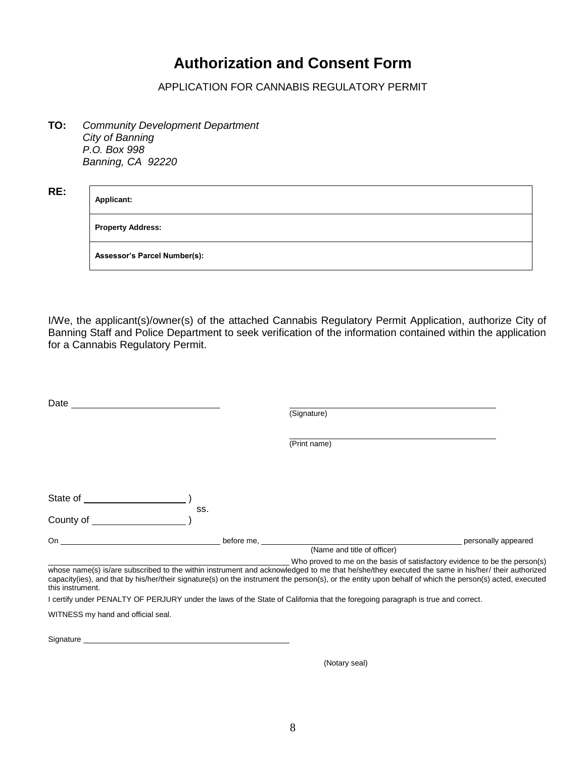# **Authorization and Consent Form**

APPLICATION FOR CANNABIS REGULATORY PERMIT

**TO:** *Community Development Department City of Banning P.O. Box 998 Banning, CA 92220*

| Applicant:                          |
|-------------------------------------|
| <b>Property Address:</b>            |
| <b>Assessor's Parcel Number(s):</b> |

I/We, the applicant(s)/owner(s) of the attached Cannabis Regulatory Permit Application, authorize City of Banning Staff and Police Department to seek verification of the information contained within the application for a Cannabis Regulatory Permit.

| Date                               |            |                                                                                                                                                                                                                                                                                                                                                                                          |                     |
|------------------------------------|------------|------------------------------------------------------------------------------------------------------------------------------------------------------------------------------------------------------------------------------------------------------------------------------------------------------------------------------------------------------------------------------------------|---------------------|
|                                    |            | (Signature)                                                                                                                                                                                                                                                                                                                                                                              |                     |
|                                    |            |                                                                                                                                                                                                                                                                                                                                                                                          |                     |
|                                    |            | (Print name)                                                                                                                                                                                                                                                                                                                                                                             |                     |
|                                    |            |                                                                                                                                                                                                                                                                                                                                                                                          |                     |
|                                    |            |                                                                                                                                                                                                                                                                                                                                                                                          |                     |
| State of _                         |            |                                                                                                                                                                                                                                                                                                                                                                                          |                     |
|                                    | SS.        |                                                                                                                                                                                                                                                                                                                                                                                          |                     |
| County of                          |            |                                                                                                                                                                                                                                                                                                                                                                                          |                     |
| On                                 | before me. |                                                                                                                                                                                                                                                                                                                                                                                          | personally appeared |
|                                    |            | (Name and title of officer)                                                                                                                                                                                                                                                                                                                                                              |                     |
| this instrument.                   |            | Who proved to me on the basis of satisfactory evidence to be the person(s)<br>whose name(s) is/are subscribed to the within instrument and acknowledged to me that he/she/they executed the same in his/her/ their authorized<br>capacity(ies), and that by his/her/their signature(s) on the instrument the person(s), or the entity upon behalf of which the person(s) acted, executed |                     |
|                                    |            | I certify under PENALTY OF PERJURY under the laws of the State of California that the foregoing paragraph is true and correct.                                                                                                                                                                                                                                                           |                     |
| WITNESS my hand and official seal. |            |                                                                                                                                                                                                                                                                                                                                                                                          |                     |

Signature

(Notary seal)